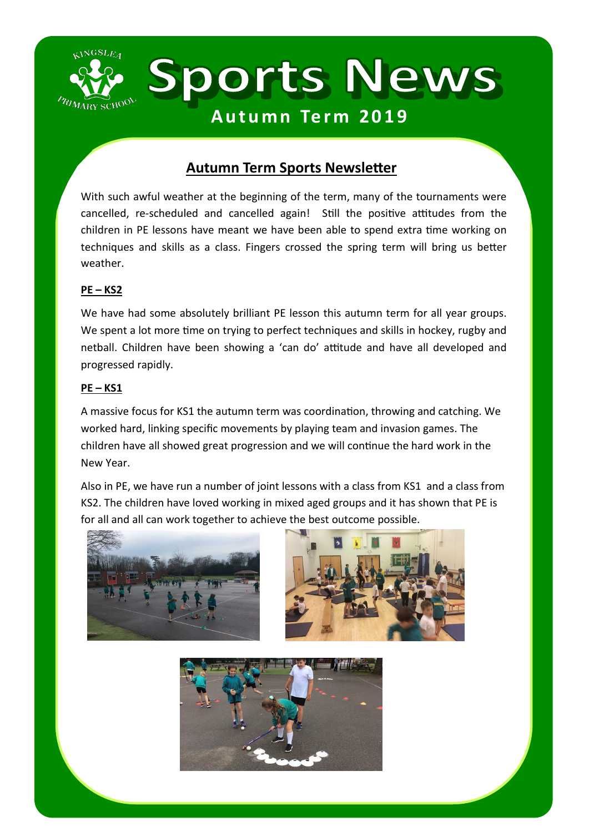

## **Autumn Term Sports Newsletter**

With such awful weather at the beginning of the term, many of the tournaments were cancelled, re-scheduled and cancelled again! Still the positive attitudes from the children in PE lessons have meant we have been able to spend extra time working on techniques and skills as a class. Fingers crossed the spring term will bring us better weather.

## **PE – KS2**

We have had some absolutely brilliant PE lesson this autumn term for all year groups. We spent a lot more time on trying to perfect techniques and skills in hockey, rugby and netball. Children have been showing a 'can do' attitude and have all developed and progressed rapidly.

## **PE – KS1**

A massive focus for KS1 the autumn term was coordination, throwing and catching. We worked hard, linking specific movements by playing team and invasion games. The children have all showed great progression and we will continue the hard work in the New Year.

Also in PE, we have run a number of joint lessons with a class from KS1 and a class from KS2. The children have loved working in mixed aged groups and it has shown that PE is for all and all can work together to achieve the best outcome possible.